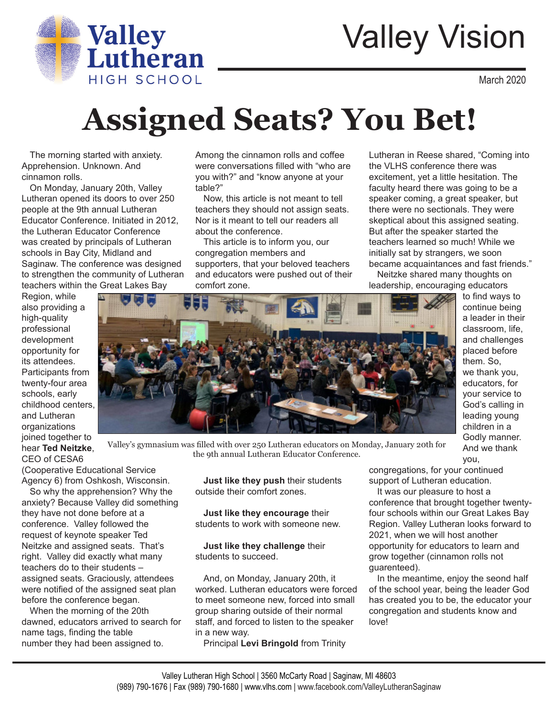

# Valley Vision

March 2020

to find ways to continue being a leader in their classroom, life, and challenges placed before them. So, we thank you, educators, for your service to God's calling in leading young children in a Godly manner. And we thank

## **Assigned Seats? You Bet!**

The morning started with anxiety. Apprehension. Unknown. And cinnamon rolls.

On Monday, January 20th, Valley Lutheran opened its doors to over 250 people at the 9th annual Lutheran Educator Conference. Initiated in 2012, the Lutheran Educator Conference was created by principals of Lutheran schools in Bay City, Midland and Saginaw. The conference was designed to strengthen the community of Lutheran teachers within the Great Lakes Bay

Region, while also providing a high-quality professional development opportunity for its attendees. Participants from twenty-four area schools, early childhood centers, and Lutheran organizations joined together to hear **Ted Neitzke**, CEO of CESA6

Among the cinnamon rolls and coffee were conversations filled with "who are you with?" and "know anyone at your table?"

Now, this article is not meant to tell teachers they should not assign seats. Nor is it meant to tell our readers all about the conference.

This article is to inform you, our congregation members and supporters, that your beloved teachers and educators were pushed out of their comfort zone.

Lutheran in Reese shared, "Coming into the VLHS conference there was excitement, yet a little hesitation. The faculty heard there was going to be a speaker coming, a great speaker, but there were no sectionals. They were skeptical about this assigned seating. But after the speaker started the teachers learned so much! While we initially sat by strangers, we soon became acquaintances and fast friends."

Neitzke shared many thoughts on leadership, encouraging educators



Valley's gymnasium was filled with over 250 Lutheran educators on Monday, January 20th for the 9th annual Lutheran Educator Conference.

(Cooperative Educational Service Agency 6) from Oshkosh, Wisconsin.

So why the apprehension? Why the anxiety? Because Valley did something they have not done before at a conference. Valley followed the request of keynote speaker Ted Neitzke and assigned seats. That's right. Valley did exactly what many teachers do to their students – assigned seats. Graciously, attendees were notified of the assigned seat plan before the conference began.

When the morning of the 20th dawned, educators arrived to search for name tags, finding the table number they had been assigned to.

**Just like they push** their students outside their comfort zones.

**Just like they encourage** their students to work with someone new.

**Just like they challenge** their students to succeed.

And, on Monday, January 20th, it worked. Lutheran educators were forced to meet someone new, forced into small group sharing outside of their normal staff, and forced to listen to the speaker in a new way.

Principal **Levi Bringold** from Trinity

congregations, for your continued support of Lutheran education.

It was our pleasure to host a conference that brought together twentyfour schools within our Great Lakes Bay Region. Valley Lutheran looks forward to 2021, when we will host another opportunity for educators to learn and grow together (cinnamon rolls not guarenteed).

you,

In the meantime, enjoy the seond half of the school year, being the leader God has created you to be, the educator your congregation and students know and love!